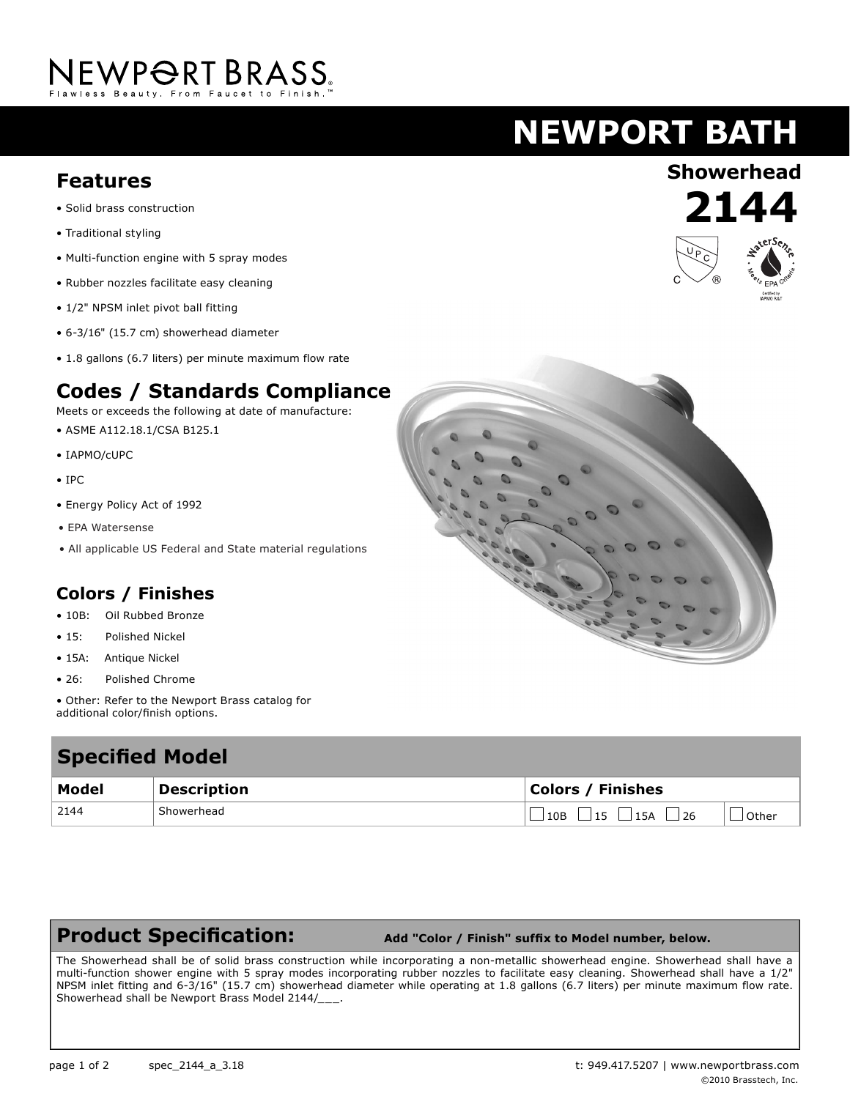# NEWPORT BRASS

## **NEWPORT BATH**

### **Showerhead Features**

- Solid brass construction
- Traditional styling
- Multi-function engine with 5 spray modes
- Rubber nozzles facilitate easy cleaning
- 1/2" NPSM inlet pivot ball fitting
- 6-3/16" (15.7 cm) showerhead diameter
- 1.8 gallons (6.7 liters) per minute maximum flow rate

#### **Codes / Standards Compliance**

Meets or exceeds the following at date of manufacture:

- ASME A112.18.1/CSA B125.1
- IAPMO/cUPC
- IPC
- Energy Policy Act of 1992
- EPA Watersense
- All applicable US Federal and State material regulations

#### **Colors / Finishes**

- 10B: Oil Rubbed Bronze
- 15: Polished Nickel
- 15A: Antique Nickel
- 26: Polished Chrome
- Other: Refer to the Newport Brass catalog for additional color/finish options.

### **Specified Model Model Description Colors / Finishes** 2144 Showerhead Showerhead  $\Box$  10B  $\Box$  15  $\Box$  15A  $\Box$  26  $\Box$  Other

#### **Product Specification:**

 **Add "Color / Finish" suffix to Model number, below.**

The Showerhead shall be of solid brass construction while incorporating a non-metallic showerhead engine. Showerhead shall have a multi-function shower engine with 5 spray modes incorporating rubber nozzles to facilitate easy cleaning. Showerhead shall have a 1/2" NPSM inlet fitting and 6-3/16" (15.7 cm) showerhead diameter while operating at 1.8 gallons (6.7 liters) per minute maximum flow rate. Showerhead shall be Newport Brass Model 2144/